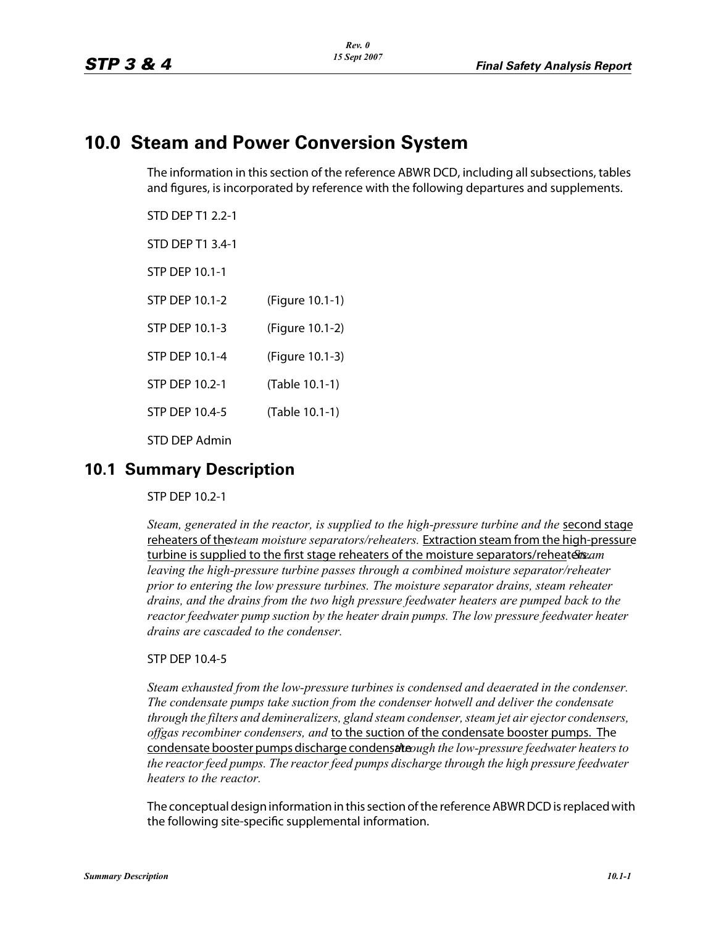# **10.0 Steam and Power Conversion System**

The information in this section of the reference ABWR DCD, including all subsections, tables and figures, is incorporated by reference with the following departures and supplements.

STD DEP T1 2.2-1

STD DEP T1 3.4-1

STP DEP 10.1-1

STP DEP 10.1-2 (Figure 10.1-1)

- STP DEP 10.1-3 (Figure 10.1-2)
- STP DEP 10.1-4 (Figure 10.1-3)
- STP DEP 10.2-1 (Table 10.1-1)
- STP DEP 10.4-5 (Table 10.1-1)

STD DEP Admin

# **10.1 Summary Description**

STP DEP 10.2-1

*Steam, generated in the reactor, is supplied to the high-pressure turbine and the* second stage reheaters of the*steam moisture separators/reheaters.* Extraction steam from the high-pressure turbine is supplied to the first stage reheaters of the moisture separators/reheaters. *leaving the high-pressure turbine passes through a combined moisture separator/reheater prior to entering the low pressure turbines. The moisture separator drains, steam reheater drains, and the drains from the two high pressure feedwater heaters are pumped back to the reactor feedwater pump suction by the heater drain pumps. The low pressure feedwater heater drains are cascaded to the condenser.*

## STP DEP 10.4-5

*Steam exhausted from the low-pressure turbines is condensed and deaerated in the condenser. The condensate pumps take suction from the condenser hotwell and deliver the condensate through the filters and demineralizers, gland steam condenser,steam jet air ejector condensers, offgas recombiner condensers, and* to the suction of the condensate booster pumps. The condensate booster pumps discharge condensational *the low-pressure feedwater heaters to the reactor feed pumps. The reactor feed pumps discharge through the high pressure feedwater heaters to the reactor.*

The conceptual design information in this section of the reference ABWR DCD is replaced with the following site-specific supplemental information.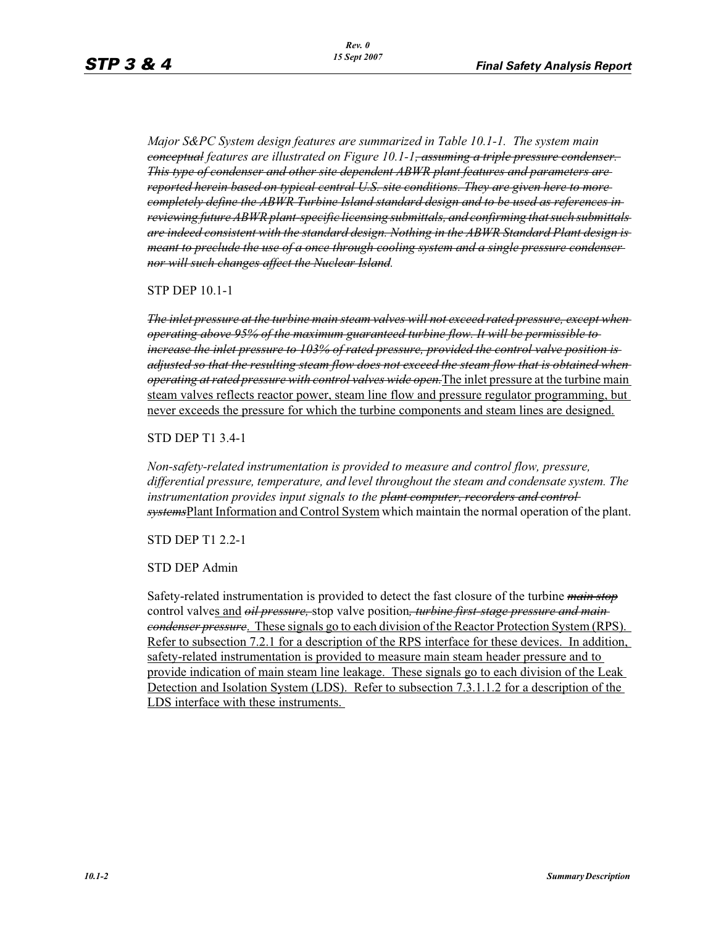*Major S&PC System design features are summarized in Table 10.1-1. The system main conceptual features are illustrated on Figure 10.1-1, assuming a triple pressure condenser. This type of condenser and other site dependent ABWR plant features and parameters are reported herein based on typical central U.S. site conditions. They are given here to more completely define the ABWR Turbine Island standard design and to be used as references in reviewing future ABWR plant-specific licensing submittals, and confirming that such submittals are indeed consistent with the standard design. Nothing in the ABWR Standard Plant design is meant to preclude the use of a once through cooling system and a single pressure condenser nor will such changes affect the Nuclear Island.*

STP DEP 10.1-1

*The inlet pressure at the turbine main steam valves will not exceed rated pressure, except when operating above 95% of the maximum guaranteed turbine flow. It will be permissible to increase the inlet pressure to 103% of rated pressure, provided the control valve position is adjusted so that the resulting steam flow does not exceed the steam flow that is obtained when operating at rated pressure with control valves wide open.*The inlet pressure at the turbine main steam valves reflects reactor power, steam line flow and pressure regulator programming, but never exceeds the pressure for which the turbine components and steam lines are designed.

STD DEP T1 3.4-1

*Non-safety-related instrumentation is provided to measure and control flow, pressure, differential pressure, temperature, and level throughout the steam and condensate system. The instrumentation provides input signals to the plant computer, recorders and controlsystems*Plant Information and Control System which maintain the normal operation of the plant.

STD DEP T1 2.2-1

STD DEP Admin

Safety-related instrumentation is provided to detect the fast closure of the turbine *main stop* control valves and *oil pressure,* stop valve position*, turbine first-stage pressure and main condenser pressure*. These signals go to each division of the Reactor Protection System (RPS). Refer to subsection 7.2.1 for a description of the RPS interface for these devices. In addition, safety-related instrumentation is provided to measure main steam header pressure and to provide indication of main steam line leakage. These signals go to each division of the Leak Detection and Isolation System (LDS). Refer to subsection 7.3.1.1.2 for a description of the LDS interface with these instruments.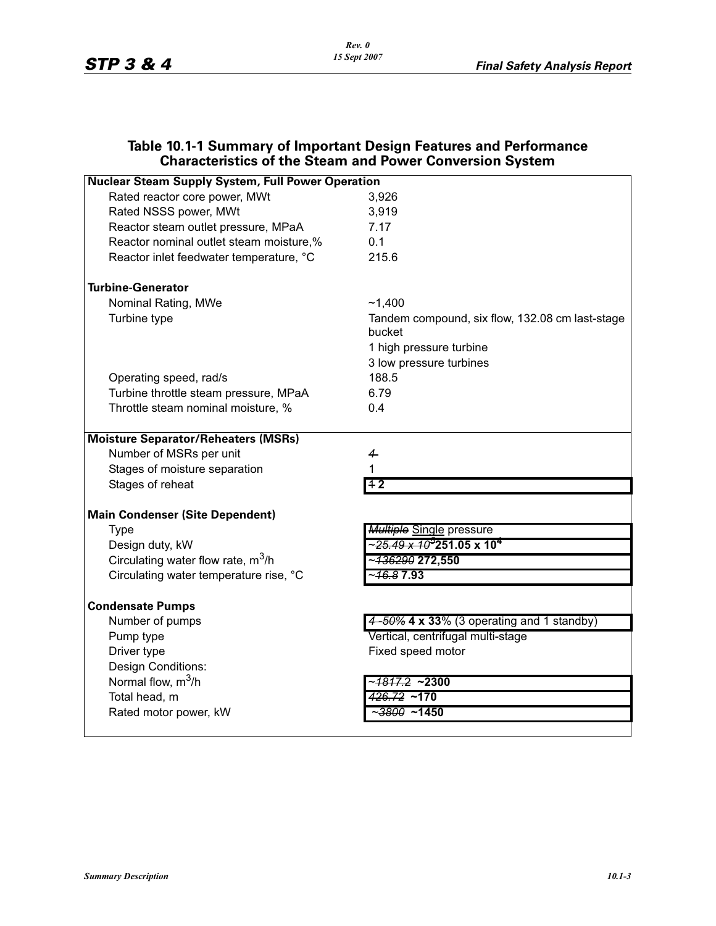## **Table 10.1-1 Summary of Important Design Features and Performance Characteristics of the Steam and Power Conversion System**

| <b>Nuclear Steam Supply System, Full Power Operation</b> |                                                           |
|----------------------------------------------------------|-----------------------------------------------------------|
| Rated reactor core power, MWt                            | 3,926                                                     |
| Rated NSSS power, MWt                                    | 3,919<br>7.17<br>0.1                                      |
| Reactor steam outlet pressure, MPaA                      |                                                           |
| Reactor nominal outlet steam moisture,%                  |                                                           |
| Reactor inlet feedwater temperature, °C                  | 215.6                                                     |
| <b>Turbine-Generator</b>                                 |                                                           |
| Nominal Rating, MWe                                      | ~1,400                                                    |
| Turbine type                                             | Tandem compound, six flow, 132.08 cm last-stage<br>bucket |
|                                                          | 1 high pressure turbine                                   |
|                                                          | 3 low pressure turbines                                   |
| Operating speed, rad/s                                   | 188.5                                                     |
| Turbine throttle steam pressure, MPaA                    | 6.79                                                      |
| Throttle steam nominal moisture, %                       | 0.4                                                       |
| <b>Moisture Separator/Reheaters (MSRs)</b>               |                                                           |
| Number of MSRs per unit                                  | $\overline{4}$                                            |
| Stages of moisture separation                            | 1                                                         |
| Stages of reheat                                         | $1 + 2$                                                   |
| <b>Main Condenser (Site Dependent)</b>                   |                                                           |
| <b>Type</b>                                              | <b>Multiple Single pressure</b>                           |
| Design duty, kW                                          | ~ <del>25.49 x 10°</del> 251.05 x 10 <del>″</del>         |
| Circulating water flow rate, $m^3/h$                     |                                                           |
| Circulating water temperature rise, °C                   | - <del>16.8</del> 7.93                                    |
| <b>Condensate Pumps</b>                                  |                                                           |
| Number of pumps                                          | 4 - 50% 4 x 33% (3 operating and 1 standby)               |
| Pump type                                                | Vertical, centrifugal multi-stage                         |
| Driver type                                              | Fixed speed motor                                         |
| Design Conditions:                                       |                                                           |
| Normal flow, $m^3/h$                                     | - <del>1817.2</del> ~2300                                 |
| Total head, m                                            | <del>426.72</del> ~170                                    |
| Rated motor power, kW                                    | ~ <del>3800</del> ~1450                                   |
|                                                          |                                                           |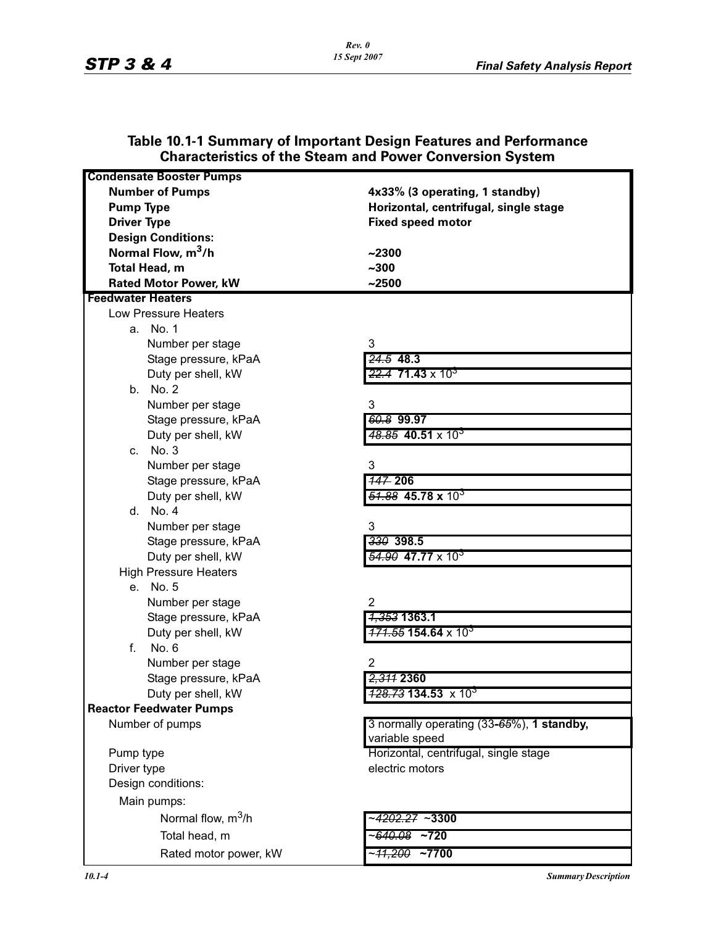|                                                          | Characteristics of the Steam and Fower Conversion System    |
|----------------------------------------------------------|-------------------------------------------------------------|
| <b>Condensate Booster Pumps</b>                          |                                                             |
| <b>Number of Pumps</b>                                   | 4x33% (3 operating, 1 standby)                              |
| <b>Pump Type</b>                                         | Horizontal, centrifugal, single stage                       |
| <b>Driver Type</b>                                       | <b>Fixed speed motor</b>                                    |
| <b>Design Conditions:</b>                                |                                                             |
| Normal Flow, m <sup>3</sup> /h                           | ~2300                                                       |
| Total Head, m                                            | ~100                                                        |
| <b>Rated Motor Power, kW</b><br><b>Feedwater Heaters</b> | ~2500                                                       |
| Low Pressure Heaters                                     |                                                             |
| No. 1                                                    |                                                             |
| а.<br>Number per stage                                   | 3                                                           |
| Stage pressure, kPaA                                     | $24.5$ 48.3                                                 |
| Duty per shell, kW                                       | $\frac{22.4}{21.43 \times 10^{5}}$                          |
| b. No. 2                                                 |                                                             |
| Number per stage                                         | 3                                                           |
| Stage pressure, kPaA                                     | 60.8 99.97                                                  |
| Duty per shell, kW                                       | $48.85$ 40.51 x 10 <sup>3</sup>                             |
| c. No. 3                                                 |                                                             |
| Number per stage                                         | 3                                                           |
| Stage pressure, kPaA                                     | 147 206                                                     |
| Duty per shell, kW                                       | $\frac{54.88}{2}$ 45.78 x 10 <sup>3</sup>                   |
| d. No. 4                                                 |                                                             |
| Number per stage                                         | 3                                                           |
| Stage pressure, kPaA                                     | 330 398.5                                                   |
| Duty per shell, kW                                       | <del>54.90</del> 47.77 x 10 <sup>3</sup>                    |
| <b>High Pressure Heaters</b>                             |                                                             |
| e. No. 5                                                 |                                                             |
| Number per stage                                         | $\overline{2}$                                              |
| Stage pressure, kPaA                                     | <del>1,353</del> 1363.1                                     |
| Duty per shell, kW                                       |                                                             |
| No. 6<br>f.                                              |                                                             |
| Number per stage                                         | 2                                                           |
| Stage pressure, kPaA                                     | 2,311 2360                                                  |
| Duty per shell, kW                                       | $\frac{428.73}{134.53}$ x 10 <sup>3</sup>                   |
| <b>Reactor Feedwater Pumps</b>                           |                                                             |
| Number of pumps                                          | 3 normally operating (33-65%), 1 standby,<br>variable speed |
| Pump type                                                | Horizontal, centrifugal, single stage                       |
| Driver type                                              | electric motors                                             |
| Design conditions:                                       |                                                             |
| Main pumps:                                              |                                                             |
| Normal flow, $m^3/h$                                     | <del>2202.27</del> ∼3300−                                   |
| Total head, m                                            | <del>-640.08</del><br>$~1$ $~1$                             |
| Rated motor power, kW                                    | ~ <del>11,200</del><br>~77700                               |

#### **Table 10.1-1 Summary of Important Design Features and Performance Characteristics of the Steam and Power Conversion System**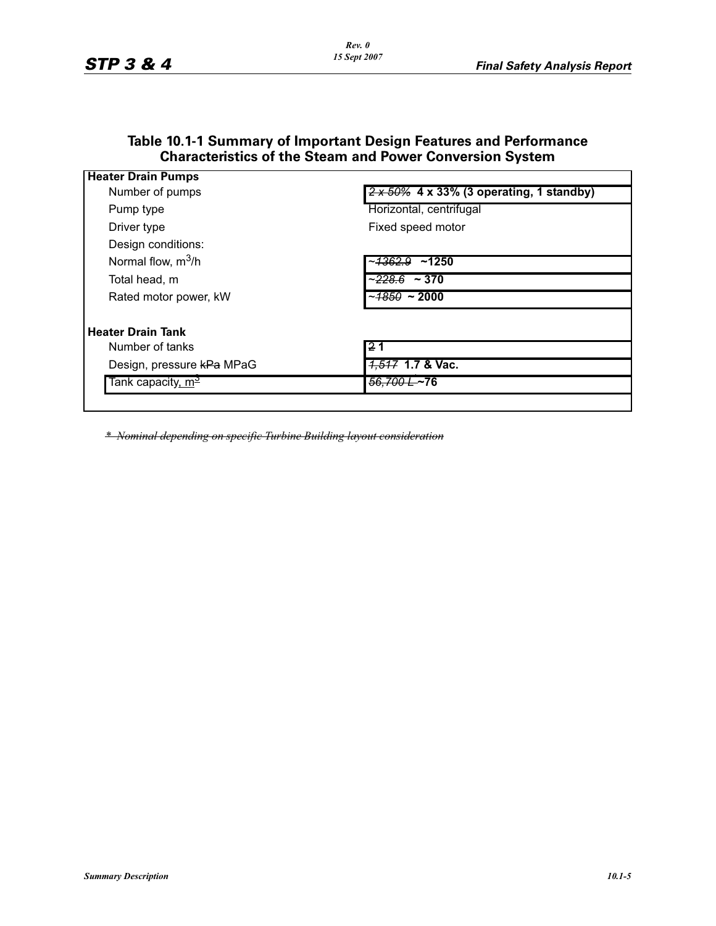| <b>Heater Drain Pumps</b>     |                                                  |
|-------------------------------|--------------------------------------------------|
| Number of pumps               | $2 \times 50\%$ 4 x 33% (3 operating, 1 standby) |
| Pump type                     | Horizontal, centrifugal                          |
| Driver type                   | Fixed speed motor                                |
| Design conditions:            |                                                  |
| Normal flow, $m^3/h$          | ~1250<br>~ <del>1362.9</del>                     |
| Total head, m                 | ~ <del>228.6</del> ~ 370                         |
| Rated motor power, kW         | $-4850 - 2000$                                   |
| <b>Heater Drain Tank</b>      |                                                  |
| Number of tanks               | 21                                               |
| Design, pressure kPa MPaG     | <del>1,517</del> 1.7 & Vac.                      |
| Tank capacity, m <sup>2</sup> | 56.700 L ~76                                     |

#### **Table 10.1-1 Summary of Important Design Features and Performance Characteristics of the Steam and Power Conversion System**

*\* Nominal depending on specific Turbine Building layout consideration*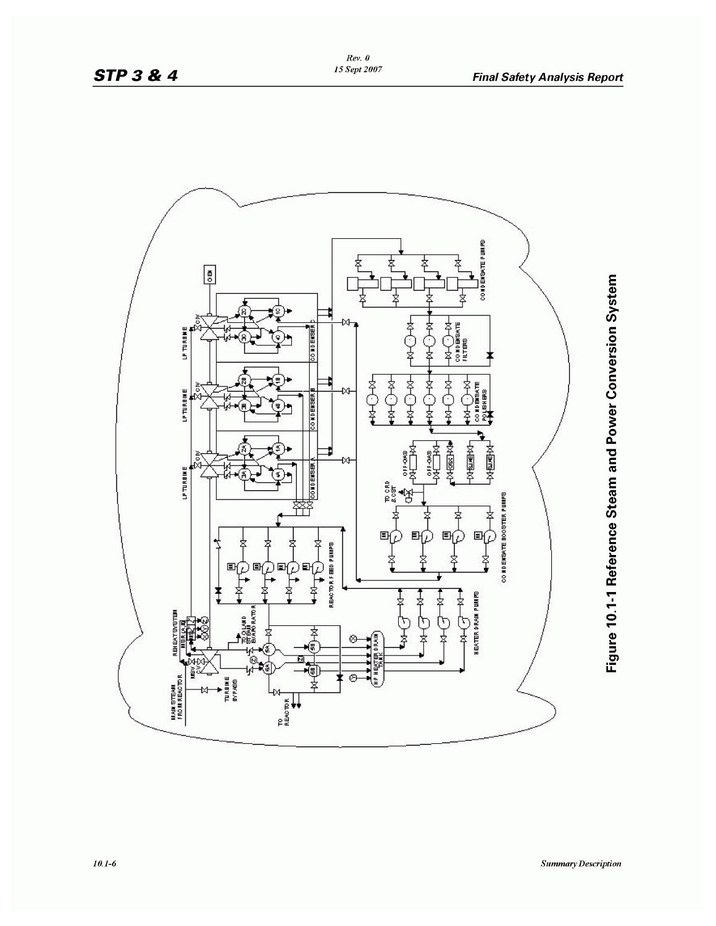

Figure 10.1-1 Reference Steam and Power Conversion System

Rev. 0<br>15 Sept 2007